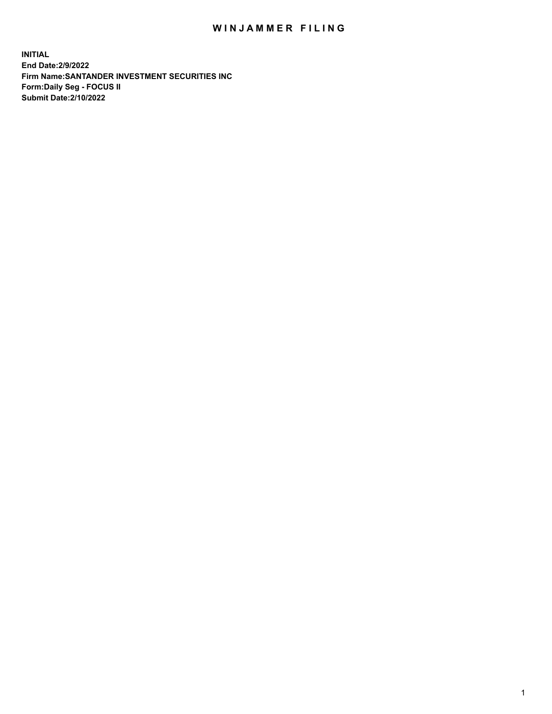## WIN JAMMER FILING

**INITIAL End Date:2/9/2022 Firm Name:SANTANDER INVESTMENT SECURITIES INC Form:Daily Seg - FOCUS II Submit Date:2/10/2022**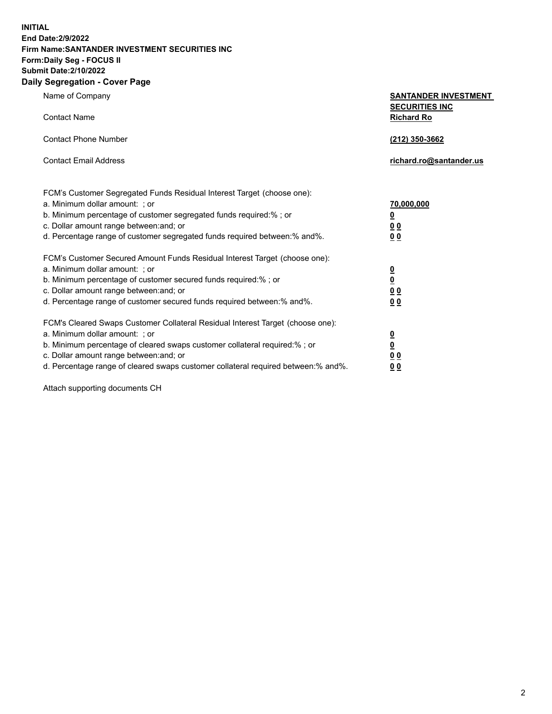**INITIAL End Date:2/9/2022 Firm Name:SANTANDER INVESTMENT SECURITIES INC Form:Daily Seg - FOCUS II Submit Date:2/10/2022 Daily Segregation - Cover Page**

| Name of Company                                                                                              | <b>SANTANDER INVESTMENT</b>      |
|--------------------------------------------------------------------------------------------------------------|----------------------------------|
|                                                                                                              | <b>SECURITIES INC</b>            |
| <b>Contact Name</b>                                                                                          | <b>Richard Ro</b>                |
|                                                                                                              |                                  |
| <b>Contact Phone Number</b>                                                                                  | (212) 350-3662                   |
| <b>Contact Email Address</b>                                                                                 | richard.ro@santander.us          |
|                                                                                                              |                                  |
|                                                                                                              |                                  |
| FCM's Customer Segregated Funds Residual Interest Target (choose one):                                       |                                  |
| a. Minimum dollar amount: ; or                                                                               | 70,000,000                       |
| b. Minimum percentage of customer segregated funds required:% ; or                                           | $\overline{\mathbf{0}}$          |
| c. Dollar amount range between: and; or                                                                      | 0 <sub>0</sub>                   |
| d. Percentage range of customer segregated funds required between:% and%.                                    | 0 <sub>0</sub>                   |
|                                                                                                              |                                  |
| FCM's Customer Secured Amount Funds Residual Interest Target (choose one):<br>a. Minimum dollar amount: ; or |                                  |
| b. Minimum percentage of customer secured funds required:%; or                                               | $\frac{0}{0}$                    |
| c. Dollar amount range between: and; or                                                                      |                                  |
| d. Percentage range of customer secured funds required between: % and %.                                     | 0 <sub>0</sub><br>0 <sub>0</sub> |
|                                                                                                              |                                  |
| FCM's Cleared Swaps Customer Collateral Residual Interest Target (choose one):                               |                                  |
| a. Minimum dollar amount: ; or                                                                               |                                  |
| b. Minimum percentage of cleared swaps customer collateral required:%; or                                    | $\frac{0}{0}$                    |
| c. Dollar amount range between: and; or                                                                      | 0 <sub>0</sub>                   |
|                                                                                                              |                                  |

d. Percentage range of cleared swaps customer collateral required between:% and%. **0 0**

Attach supporting documents CH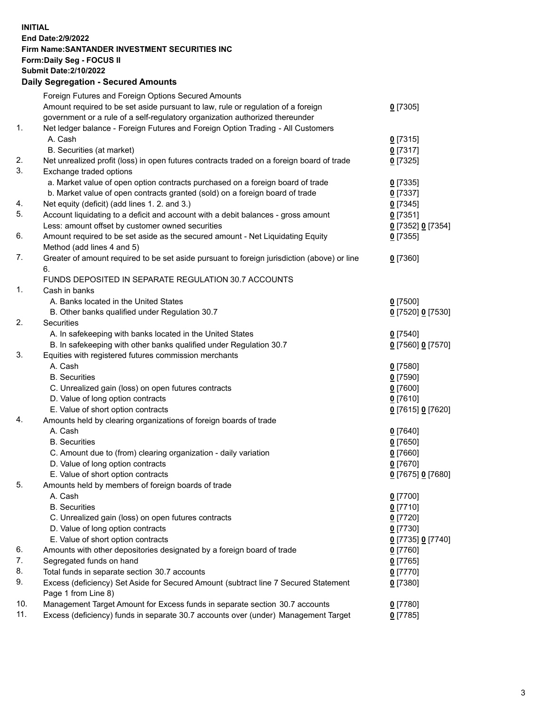## **INITIAL End Date:2/9/2022 Firm Name:SANTANDER INVESTMENT SECURITIES INC Form:Daily Seg - FOCUS II Submit Date:2/10/2022 Daily Segregation - Secured Amounts**

|     | Foreign Futures and Foreign Options Secured Amounts                                         |                   |
|-----|---------------------------------------------------------------------------------------------|-------------------|
|     | Amount required to be set aside pursuant to law, rule or regulation of a foreign            | $0$ [7305]        |
|     | government or a rule of a self-regulatory organization authorized thereunder                |                   |
| 1.  | Net ledger balance - Foreign Futures and Foreign Option Trading - All Customers             |                   |
|     | A. Cash                                                                                     | $0$ [7315]        |
|     | B. Securities (at market)                                                                   | $0$ [7317]        |
| 2.  | Net unrealized profit (loss) in open futures contracts traded on a foreign board of trade   | $0$ [7325]        |
| 3.  | Exchange traded options                                                                     |                   |
|     | a. Market value of open option contracts purchased on a foreign board of trade              | $0$ [7335]        |
|     | b. Market value of open contracts granted (sold) on a foreign board of trade                | $0$ [7337]        |
| 4.  | Net equity (deficit) (add lines 1. 2. and 3.)                                               | $0$ [7345]        |
| 5.  | Account liquidating to a deficit and account with a debit balances - gross amount           | $0$ [7351]        |
|     | Less: amount offset by customer owned securities                                            | 0 [7352] 0 [7354] |
| 6.  | Amount required to be set aside as the secured amount - Net Liquidating Equity              | $0$ [7355]        |
|     | Method (add lines 4 and 5)                                                                  |                   |
| 7.  | Greater of amount required to be set aside pursuant to foreign jurisdiction (above) or line | $0$ [7360]        |
|     | 6.                                                                                          |                   |
|     | FUNDS DEPOSITED IN SEPARATE REGULATION 30.7 ACCOUNTS                                        |                   |
| 1.  | Cash in banks                                                                               |                   |
|     | A. Banks located in the United States                                                       | $0$ [7500]        |
|     | B. Other banks qualified under Regulation 30.7                                              | 0 [7520] 0 [7530] |
| 2.  | Securities                                                                                  |                   |
|     | A. In safekeeping with banks located in the United States                                   | $0$ [7540]        |
|     | B. In safekeeping with other banks qualified under Regulation 30.7                          | 0 [7560] 0 [7570] |
| 3.  | Equities with registered futures commission merchants                                       |                   |
|     | A. Cash                                                                                     | $0$ [7580]        |
|     | <b>B.</b> Securities                                                                        | $0$ [7590]        |
|     | C. Unrealized gain (loss) on open futures contracts                                         | $0$ [7600]        |
|     | D. Value of long option contracts                                                           | $0$ [7610]        |
|     | E. Value of short option contracts                                                          | 0 [7615] 0 [7620] |
| 4.  | Amounts held by clearing organizations of foreign boards of trade                           |                   |
|     | A. Cash                                                                                     | $0$ [7640]        |
|     | <b>B.</b> Securities                                                                        | $0$ [7650]        |
|     | C. Amount due to (from) clearing organization - daily variation                             | $0$ [7660]        |
|     | D. Value of long option contracts                                                           | $0$ [7670]        |
|     | E. Value of short option contracts                                                          | 0 [7675] 0 [7680] |
| 5.  | Amounts held by members of foreign boards of trade                                          |                   |
|     | A. Cash                                                                                     | $0$ [7700]        |
|     | <b>B.</b> Securities                                                                        | $0$ [7710]        |
|     | C. Unrealized gain (loss) on open futures contracts                                         | $0$ [7720]        |
|     | D. Value of long option contracts                                                           | $0$ [7730]        |
|     | E. Value of short option contracts                                                          | 0 [7735] 0 [7740] |
| 6.  | Amounts with other depositories designated by a foreign board of trade                      | $0$ [7760]        |
| 7.  | Segregated funds on hand                                                                    | $0$ [7765]        |
| 8.  | Total funds in separate section 30.7 accounts                                               | $0$ [7770]        |
| 9.  | Excess (deficiency) Set Aside for Secured Amount (subtract line 7 Secured Statement         | $0$ [7380]        |
|     | Page 1 from Line 8)                                                                         |                   |
| 10. | Management Target Amount for Excess funds in separate section 30.7 accounts                 | $0$ [7780]        |
| 11. | Excess (deficiency) funds in separate 30.7 accounts over (under) Management Target          | $0$ [7785]        |
|     |                                                                                             |                   |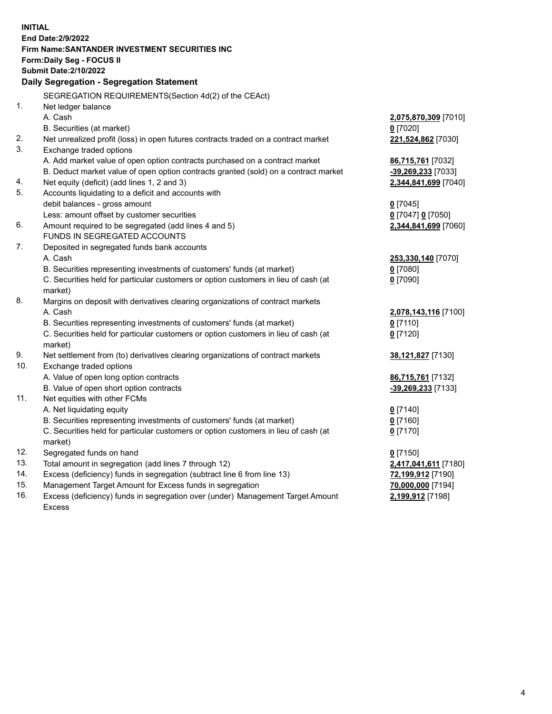| <b>INITIAL</b> | End Date: 2/9/2022<br>Firm Name: SANTANDER INVESTMENT SECURITIES INC<br>Form: Daily Seg - FOCUS II<br><b>Submit Date: 2/10/2022</b><br>Daily Segregation - Segregation Statement |                       |
|----------------|----------------------------------------------------------------------------------------------------------------------------------------------------------------------------------|-----------------------|
|                | SEGREGATION REQUIREMENTS(Section 4d(2) of the CEAct)                                                                                                                             |                       |
| 1.             | Net ledger balance                                                                                                                                                               |                       |
|                | A. Cash                                                                                                                                                                          | 2,075,870,309 [7010]  |
|                | B. Securities (at market)                                                                                                                                                        | $0$ [7020]            |
| 2.             | Net unrealized profit (loss) in open futures contracts traded on a contract market                                                                                               | 221,524,862 [7030]    |
| 3.             | Exchange traded options                                                                                                                                                          |                       |
|                | A. Add market value of open option contracts purchased on a contract market                                                                                                      | 86,715,761 [7032]     |
|                | B. Deduct market value of open option contracts granted (sold) on a contract market                                                                                              | -39,269,233 [7033]    |
| 4.             | Net equity (deficit) (add lines 1, 2 and 3)                                                                                                                                      | 2,344,841,699 [7040]  |
| 5.             | Accounts liquidating to a deficit and accounts with                                                                                                                              |                       |
|                | debit balances - gross amount                                                                                                                                                    | $0$ [7045]            |
|                | Less: amount offset by customer securities                                                                                                                                       | $0$ [7047] $0$ [7050] |
| 6.             | Amount required to be segregated (add lines 4 and 5)                                                                                                                             | 2,344,841,699 [7060]  |
| 7.             | FUNDS IN SEGREGATED ACCOUNTS                                                                                                                                                     |                       |
|                | Deposited in segregated funds bank accounts                                                                                                                                      |                       |
|                | A. Cash                                                                                                                                                                          | 253,330,140 [7070]    |
|                | B. Securities representing investments of customers' funds (at market)<br>C. Securities held for particular customers or option customers in lieu of cash (at                    | $0$ [7080]            |
|                | market)                                                                                                                                                                          | $0$ [7090]            |
| 8.             | Margins on deposit with derivatives clearing organizations of contract markets                                                                                                   |                       |
|                | A. Cash                                                                                                                                                                          | 2,078,143,116 [7100]  |
|                | B. Securities representing investments of customers' funds (at market)                                                                                                           | $0$ [7110]            |
|                | C. Securities held for particular customers or option customers in lieu of cash (at                                                                                              | $0$ [7120]            |
|                | market)                                                                                                                                                                          |                       |
| 9.             | Net settlement from (to) derivatives clearing organizations of contract markets                                                                                                  | 38,121,827 [7130]     |
| 10.            | Exchange traded options                                                                                                                                                          |                       |
|                | A. Value of open long option contracts                                                                                                                                           | 86,715,761 [7132]     |
|                | B. Value of open short option contracts                                                                                                                                          | $-39,269,233$ [7133]  |
| 11.            | Net equities with other FCMs                                                                                                                                                     |                       |
|                | A. Net liquidating equity                                                                                                                                                        | $0$ [7140]            |
|                | B. Securities representing investments of customers' funds (at market)                                                                                                           | $0$ [7160]            |
|                | C. Securities held for particular customers or option customers in lieu of cash (at                                                                                              | $0$ [7170]            |
|                | market)                                                                                                                                                                          |                       |
| 12.            | Segregated funds on hand                                                                                                                                                         | $0$ [7150]            |
| 13.            | Total amount in segregation (add lines 7 through 12)                                                                                                                             | 2,417,041,611 [7180]  |
| 14.            | Excess (deficiency) funds in segregation (subtract line 6 from line 13)                                                                                                          | 72,199,912 [7190]     |
| 15.            | Management Target Amount for Excess funds in segregation                                                                                                                         | 70,000,000 [7194]     |
| 16.            | Excess (deficiency) funds in segregation over (under) Management Target Amount                                                                                                   | 2,199,912 [7198]      |
|                | Excess                                                                                                                                                                           |                       |